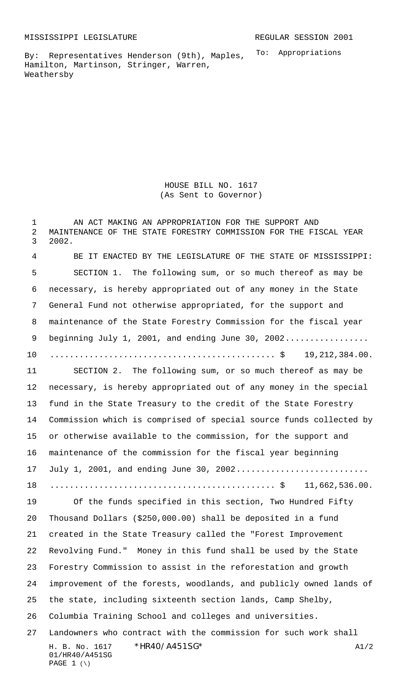To: Appropriations By: Representatives Henderson (9th), Maples, Hamilton, Martinson, Stringer, Warren, Weathersby

> HOUSE BILL NO. 1617 (As Sent to Governor)

H. B. No. 1617 \* HR40/A451SG\* A1/2 01/HR40/A451SG PAGE (\) 1 AN ACT MAKING AN APPROPRIATION FOR THE SUPPORT AND MAINTENANCE OF THE STATE FORESTRY COMMISSION FOR THE FISCAL YEAR 2002. BE IT ENACTED BY THE LEGISLATURE OF THE STATE OF MISSISSIPPI: SECTION 1. The following sum, or so much thereof as may be necessary, is hereby appropriated out of any money in the State General Fund not otherwise appropriated, for the support and maintenance of the State Forestry Commission for the fiscal year beginning July 1, 2001, and ending June 30, 2002................. .............................................. \$ 19,212,384.00. SECTION 2. The following sum, or so much thereof as may be necessary, is hereby appropriated out of any money in the special fund in the State Treasury to the credit of the State Forestry Commission which is comprised of special source funds collected by or otherwise available to the commission, for the support and maintenance of the commission for the fiscal year beginning 17 July 1, 2001, and ending June 30, 2002............................. .............................................. \$ 11,662,536.00. Of the funds specified in this section, Two Hundred Fifty Thousand Dollars (\$250,000.00) shall be deposited in a fund created in the State Treasury called the "Forest Improvement Revolving Fund." Money in this fund shall be used by the State Forestry Commission to assist in the reforestation and growth improvement of the forests, woodlands, and publicly owned lands of the state, including sixteenth section lands, Camp Shelby, Columbia Training School and colleges and universities. Landowners who contract with the commission for such work shall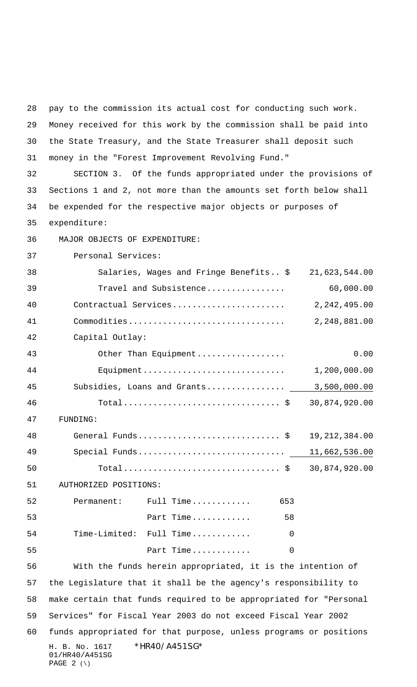H. B. No. 1617 \* HR40/A451SG\* 01/HR40/A451SG PAGE  $2 (\setminus)$  Money received for this work by the commission shall be paid into the State Treasury, and the State Treasurer shall deposit such money in the "Forest Improvement Revolving Fund." SECTION 3. Of the funds appropriated under the provisions of Sections 1 and 2, not more than the amounts set forth below shall be expended for the respective major objects or purposes of expenditure: 36 MAJOR OBJECTS OF EXPENDITURE: Personal Services: Salaries, Wages and Fringe Benefits.. \$ 21,623,544.00 Travel and Subsistence................ 60,000.00 Contractual Services....................... 2,242,495.00 Commodities................................ 2,248,881.00 Capital Outlay: Other Than Equipment.................. 0.00 Equipment............................. 1,200,000.00 Subsidies, Loans and Grants................ 3,500,000.00 Total................................ \$ 30,874,920.00 47 FUNDING: General Funds............................. \$ 19,212,384.00 Special Funds.............................. 11,662,536.00 Total................................ \$ 30,874,920.00 51 AUTHORIZED POSITIONS: Permanent: Full Time............ 653 Part Time............ 58 Time-Limited: Full Time............ 0 Part Time............ 0 With the funds herein appropriated, it is the intention of the Legislature that it shall be the agency's responsibility to make certain that funds required to be appropriated for "Personal Services" for Fiscal Year 2003 do not exceed Fiscal Year 2002 funds appropriated for that purpose, unless programs or positions

pay to the commission its actual cost for conducting such work.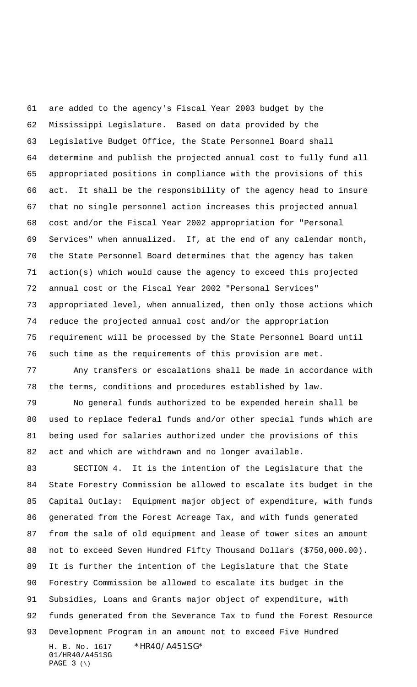are added to the agency's Fiscal Year 2003 budget by the Mississippi Legislature. Based on data provided by the Legislative Budget Office, the State Personnel Board shall determine and publish the projected annual cost to fully fund all appropriated positions in compliance with the provisions of this act. It shall be the responsibility of the agency head to insure that no single personnel action increases this projected annual cost and/or the Fiscal Year 2002 appropriation for "Personal Services" when annualized. If, at the end of any calendar month, the State Personnel Board determines that the agency has taken action(s) which would cause the agency to exceed this projected annual cost or the Fiscal Year 2002 "Personal Services" appropriated level, when annualized, then only those actions which reduce the projected annual cost and/or the appropriation requirement will be processed by the State Personnel Board until such time as the requirements of this provision are met. Any transfers or escalations shall be made in accordance with the terms, conditions and procedures established by law. No general funds authorized to be expended herein shall be used to replace federal funds and/or other special funds which are being used for salaries authorized under the provisions of this act and which are withdrawn and no longer available. SECTION 4. It is the intention of the Legislature that the State Forestry Commission be allowed to escalate its budget in the Capital Outlay: Equipment major object of expenditure, with funds generated from the Forest Acreage Tax, and with funds generated from the sale of old equipment and lease of tower sites an amount not to exceed Seven Hundred Fifty Thousand Dollars (\$750,000.00). It is further the intention of the Legislature that the State Forestry Commission be allowed to escalate its budget in the Subsidies, Loans and Grants major object of expenditure, with

funds generated from the Severance Tax to fund the Forest Resource

H. B. No. 1617 \* HR40/A451SG\* 01/HR40/A451SG PAGE (\) Development Program in an amount not to exceed Five Hundred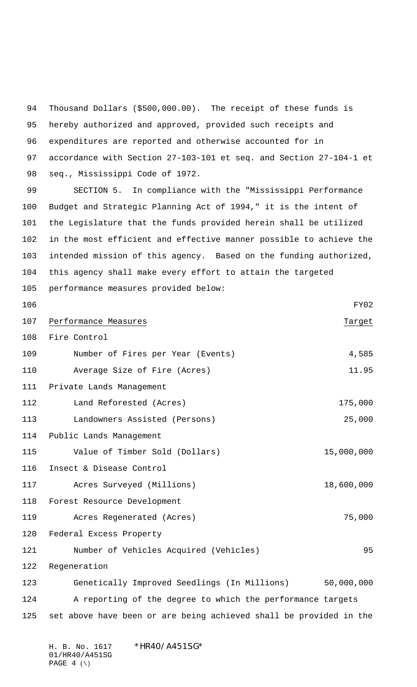Thousand Dollars (\$500,000.00). The receipt of these funds is hereby authorized and approved, provided such receipts and expenditures are reported and otherwise accounted for in accordance with Section 27-103-101 et seq. and Section 27-104-1 et seq., Mississippi Code of 1972.

 SECTION 5. In compliance with the "Mississippi Performance Budget and Strategic Planning Act of 1994," it is the intent of the Legislature that the funds provided herein shall be utilized in the most efficient and effective manner possible to achieve the intended mission of this agency. Based on the funding authorized, this agency shall make every effort to attain the targeted performance measures provided below:

 FY02 107 Performance Measures Target Fire Control 109 Number of Fires per Year (Events) 4,585 Average Size of Fire (Acres) 11.95 Private Lands Management Land Reforested (Acres) 175,000 Landowners Assisted (Persons) 25,000 Public Lands Management Value of Timber Sold (Dollars) 15,000,000 Insect & Disease Control Acres Surveyed (Millions) 18,600,000 Forest Resource Development Acres Regenerated (Acres) 75,000 Federal Excess Property Number of Vehicles Acquired (Vehicles) 95 Regeneration Genetically Improved Seedlings (In Millions) 50,000,000 A reporting of the degree to which the performance targets set above have been or are being achieved shall be provided in the

H. B. No. 1617 \*HR40/A451SG\* 01/HR40/A451SG PAGE  $4 (\setminus)$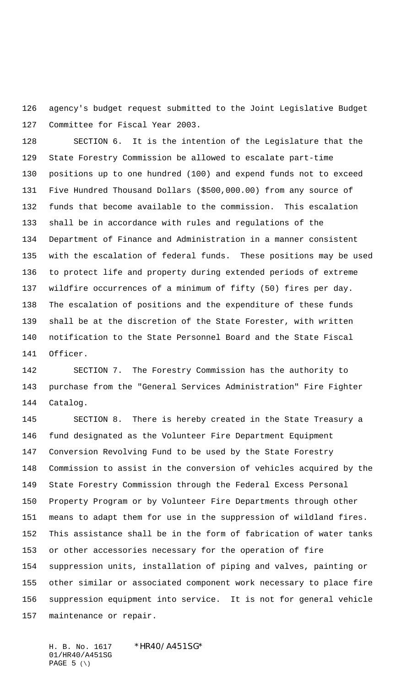agency's budget request submitted to the Joint Legislative Budget Committee for Fiscal Year 2003.

 SECTION 6. It is the intention of the Legislature that the State Forestry Commission be allowed to escalate part-time positions up to one hundred (100) and expend funds not to exceed Five Hundred Thousand Dollars (\$500,000.00) from any source of funds that become available to the commission. This escalation shall be in accordance with rules and regulations of the Department of Finance and Administration in a manner consistent with the escalation of federal funds. These positions may be used to protect life and property during extended periods of extreme wildfire occurrences of a minimum of fifty (50) fires per day. The escalation of positions and the expenditure of these funds shall be at the discretion of the State Forester, with written notification to the State Personnel Board and the State Fiscal Officer.

 SECTION 7. The Forestry Commission has the authority to purchase from the "General Services Administration" Fire Fighter Catalog.

 SECTION 8. There is hereby created in the State Treasury a fund designated as the Volunteer Fire Department Equipment Conversion Revolving Fund to be used by the State Forestry Commission to assist in the conversion of vehicles acquired by the State Forestry Commission through the Federal Excess Personal Property Program or by Volunteer Fire Departments through other means to adapt them for use in the suppression of wildland fires. This assistance shall be in the form of fabrication of water tanks or other accessories necessary for the operation of fire suppression units, installation of piping and valves, painting or other similar or associated component work necessary to place fire suppression equipment into service. It is not for general vehicle maintenance or repair.

H. B. No. 1617 \* HR40/A451SG\* 01/HR40/A451SG PAGE (\)